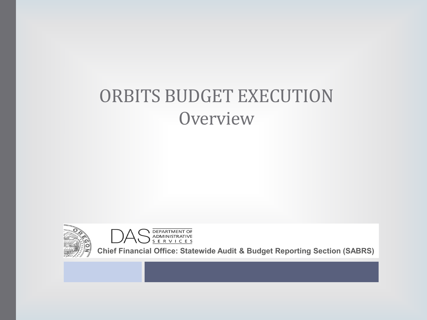#### ORBITS BUDGET EXECUTION **Overview**





**Chief Financial Office: Statewide Audit & Budget Reporting Section (SABRS)**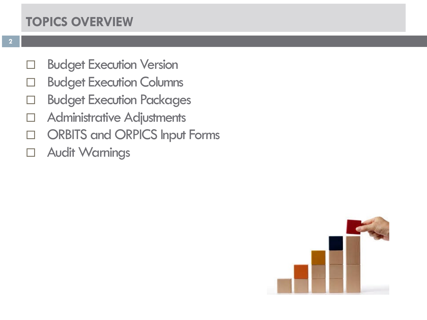#### **TOPICS OVERVIEW**

- D Budget Execution Version
- D Budget Execution Columns
- D Budget Execution Packages
- Administrative Adjustments
- ORBITS and ORPICS Input Forms
- Audit Warnings

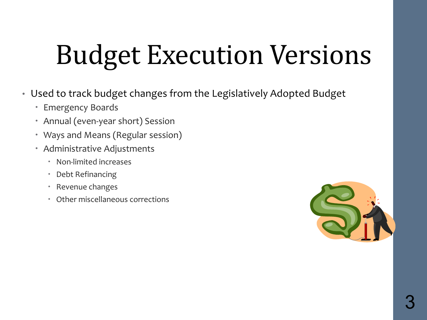# Budget Execution Versions

- Used to track budget changes from the Legislatively Adopted Budget
	- Emergency Boards
	- Annual (even-year short) Session
	- Ways and Means (Regular session)
	- Administrative Adjustments
		- Non-limited increases
		- Debt Refinancing
		- Revenue changes
		- Other miscellaneous corrections

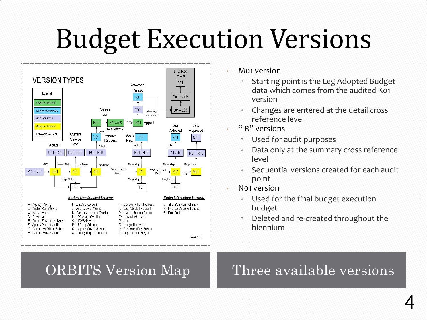## Budget Execution Versions



- M01 version
	- Starting point is the Leg Adopted Budget data which comes from the audited K01 version
	- Changes are entered at the detail cross reference level
- " R" versions
	- Used for audit purposes
	- Data only at the summary cross reference level
	- Sequential versions created for each audit point
- N01 version
	- Used for the final budget execution budget
	- Deleted and re-created throughout the biennium

#### ORBITS Version Map Three available versions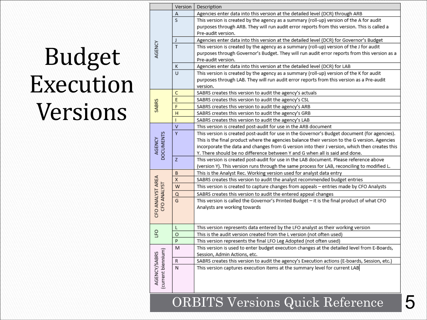#### Budget Execution Versions

|                                    | Version                 | Description                                                                                   |  |  |
|------------------------------------|-------------------------|-----------------------------------------------------------------------------------------------|--|--|
| AGENCY                             | Α                       | Agencies enter data into this version at the detailed level (DCR) through ARB                 |  |  |
|                                    | S                       | This version is created by the agency as a summary (roll-up) version of the A for audit       |  |  |
|                                    |                         | purposes through ARB. They will run audit error reports from this version. This is called a   |  |  |
|                                    |                         | Pre-audit version.                                                                            |  |  |
|                                    | $\mathsf J$             | Agencies enter data into this version at the detailed level (DCR) for Governor's Budget       |  |  |
|                                    | $\overline{\mathsf{T}}$ | This version is created by the agency as a summary (roll-up) version of the J for audit       |  |  |
|                                    |                         | purposes through Governor's Budget. They will run audit error reports from this version as a  |  |  |
|                                    |                         | Pre-audit version.                                                                            |  |  |
|                                    | Κ                       | Agencies enter data into this version at the detailed level (DCR) for LAB                     |  |  |
|                                    | $\cup$                  | This version is created by the agency as a summary (roll-up) version of the K for audit       |  |  |
|                                    |                         | purposes through LAB. They will run audit error reports from this version as a Pre-audit      |  |  |
|                                    |                         | version.                                                                                      |  |  |
| SABRS                              | С                       | SABRS creates this version to audit the agency's actuals                                      |  |  |
|                                    | E                       | SABRS creates this version to audit the agency's CSL                                          |  |  |
|                                    | F                       | SABRS creates this version to audit the agency's ARB                                          |  |  |
|                                    | H                       | SABRS creates this version to audit the agency's GRB                                          |  |  |
|                                    | T                       | SABRS creates this version to audit the agency's LAB                                          |  |  |
|                                    | $\overline{\mathsf{v}}$ | This version is created post-audit for use in the ARB document                                |  |  |
|                                    | $\overline{Y}$          | This version is created post-audit for use in the Governor's Budget document (for agencies).  |  |  |
|                                    |                         | This is the final product where the agencies balance their version to the G version. Agencies |  |  |
| AGENCY<br>DOCUMENTS                |                         | incorporate the data and changes from G version into their J version, which then creates this |  |  |
|                                    |                         | Y. There should be no difference between Y and G when all is said and done.                   |  |  |
|                                    | Z.                      | This version is created post-audit for use in the LAB document. Please reference above        |  |  |
|                                    |                         | (version Y). This version runs through the same process for LAB, reconciling to modified L.   |  |  |
|                                    | B                       | This is the Analyst Rec. Working version used for analyst data entry                          |  |  |
|                                    | X                       | SABRS creates this version to audit the analyst recommended budget entries                    |  |  |
|                                    | W                       | This version is created to capture changes from appeals - entries made by CFO Analysts        |  |  |
|                                    | Q                       | SABRS creates this version to audit the entered appeal changes                                |  |  |
| CFO ANALYST AREA<br>CFO ANALYST    | G                       | This version is called the Governor's Printed Budget - it is the final product of what CFO    |  |  |
|                                    |                         | Analysts are working towards                                                                  |  |  |
|                                    |                         |                                                                                               |  |  |
|                                    |                         |                                                                                               |  |  |
| <b>G</b>                           | L                       | This version represents data entered by the LFO analyst as their working version              |  |  |
|                                    | $\circ$                 | This is the audit version created from the L version (not often used)                         |  |  |
|                                    | P                       | This version represents the final LFO Leg Adopted (not often used)                            |  |  |
| AGENCY/SABRS<br>(current biennium) | M                       | This version is used to enter budget execution changes at the detailed level from E-Boards,   |  |  |
|                                    |                         | Session, Admin Actions, etc.                                                                  |  |  |
|                                    | R                       | SABRS creates this version to audit the agency's Execution actions (E-boards, Session, etc.)  |  |  |
|                                    | N                       | This version captures execution items at the summary level for current LAB                    |  |  |
|                                    |                         |                                                                                               |  |  |
|                                    |                         |                                                                                               |  |  |
|                                    |                         |                                                                                               |  |  |
|                                    |                         |                                                                                               |  |  |

ORBITS Versions Quick Reference 5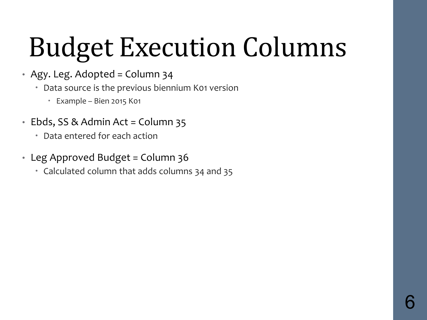# Budget Execution Columns

- Agy. Leg. Adopted = Column 34
	- Data source is the previous biennium K01 version
		- Example Bien 2015 K01
- Ebds, SS & Admin Act = Column 35
	- Data entered for each action
- Leg Approved Budget = Column 36
	- Calculated column that adds columns 34 and 35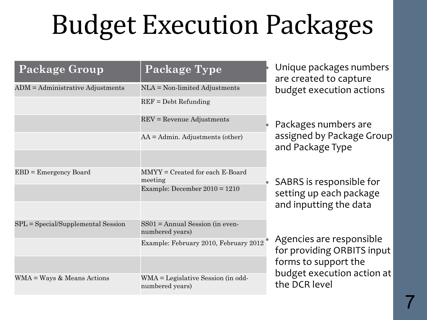# Budget Execution Packages

| <b>Package Group</b>                 | Package Type                                          | Unique packages numbers<br>are created to capture<br>budget execution actions                                                 |  |
|--------------------------------------|-------------------------------------------------------|-------------------------------------------------------------------------------------------------------------------------------|--|
| $ADM =$ Administrative Adjustments   | $NLA = Non-limited Adjustments$                       |                                                                                                                               |  |
|                                      | $REF = Debt Refunding$                                |                                                                                                                               |  |
|                                      | $REV =$ Revenue Adjustments                           | • Packages numbers are                                                                                                        |  |
|                                      | $AA =$ Admin. Adjustments (other)                     | assigned by Package Group<br>and Package Type                                                                                 |  |
|                                      |                                                       |                                                                                                                               |  |
| $EBD =$ Emergency Board              | $MMYY = Created$ for each E-Board<br>meeting          | SABRS is responsible for                                                                                                      |  |
|                                      | Example: December $2010 = 1210$                       | setting up each package<br>and inputting the data                                                                             |  |
| $SPL = Special/Supplemental Session$ | $SS01 =$ Annual Session (in even-<br>numbered years)  |                                                                                                                               |  |
|                                      | Example: February 2010, February 2012                 | Agencies are responsible<br>for providing ORBITS input<br>forms to support the<br>budget execution action at<br>the DCR level |  |
|                                      |                                                       |                                                                                                                               |  |
| $WMA = Ways & Means Actions$         | WMA = Legislative Session (in odd-<br>numbered years) |                                                                                                                               |  |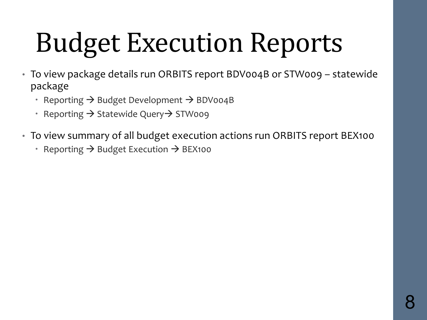# Budget Execution Reports

- To view package details run ORBITS report BDV004B or STW009 statewide package
	- Reporting  $\rightarrow$  Budget Development  $\rightarrow$  BDV004B
	- Reporting  $\rightarrow$  Statewide Query  $\rightarrow$  STW009
- To view summary of all budget execution actions run ORBITS report BEX100
	- Reporting  $\rightarrow$  Budget Execution  $\rightarrow$  BEX100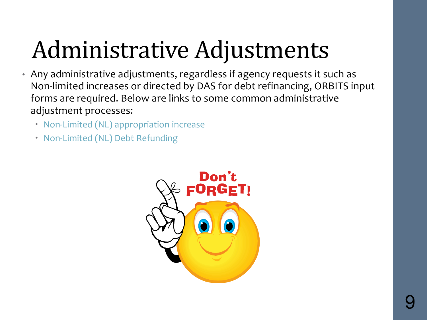#### Administrative Adjustments

- Any administrative adjustments, regardless if agency requests it such as Non-limited increases or directed by DAS for debt refinancing, ORBITS input forms are required. Below are links to some common administrative adjustment processes:
	- [Non-Limited \(NL\) appropriation increase](https://www.oregon.gov/das/Financial/SiteAssets/pages/SABRS/NL%20Appropriation%20Requests%20Process%20Overview.pdf)
	- [Non-Limited \(NL\) Debt Refunding](https://www.oregon.gov/das/Financial/SiteAssets/Pages/SABRS/NL_Debt_refunding_Flowchart.pdf)

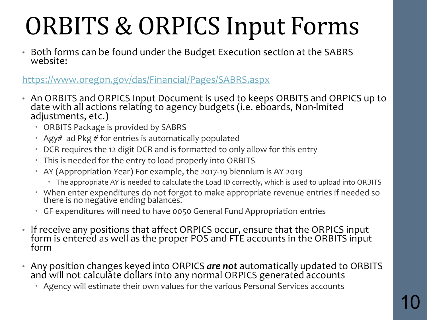### ORBITS & ORPICS Input Forms

• Both forms can be found under the Budget Execution section at the SABRS website:

<https://www.oregon.gov/das/Financial/Pages/SABRS.aspx>

- An ORBITS and ORPICS Input Document is used to keeps ORBITS and ORPICS up to date with all actions relating to agency budgets (i.e. eboards, Non-lmited adjustments, etc.)
	- ORBITS Package is provided by SABRS
	- Agy# ad Pkg  $#$  for entries is automatically populated
	- DCR requires the 12 digit DCR and is formatted to only allow for this entry
	- This is needed for the entry to load properly into ORBITS
	- AY (Appropriation Year) For example, the 2017-19 biennium is AY 2019
		- The appropriate AY is needed to calculate the Load ID correctly, which is used to upload into ORBITS
	- When enter expenditures do not forgot to make appropriate revenue entries if needed so there is no negative ending balances.
	- GF expenditures will need to have 0050 General Fund Appropriation entries
- If receive any positions that affect ORPICS occur, ensure that the ORPICS input form is entered as well as the proper POS and FTE accounts in the ORBITS input form
- Any position changes keyed into ORPICS *are not* automatically updated to ORBITS and will not calculate dollars into any normal ORPICS generated accounts
	- Agency will estimate their own values for the various Personal Services accounts